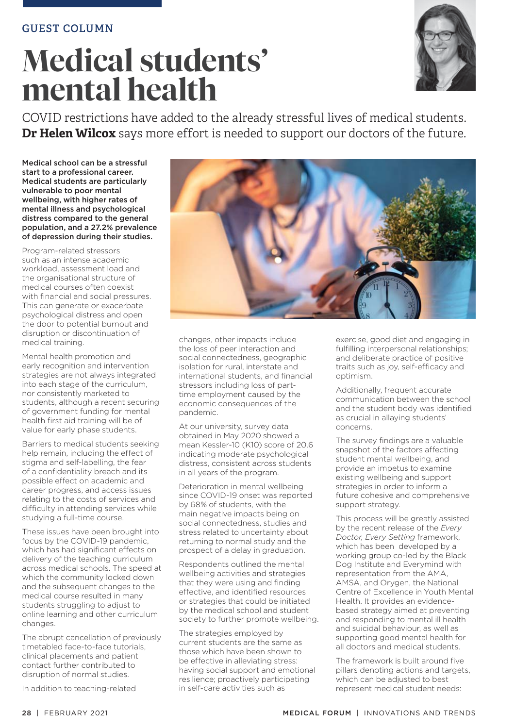# **Medical students' mental health**



COVID restrictions have added to the already stressful lives of medical students. **Dr Helen Wilcox** says more effort is needed to support our doctors of the future.

Medical school can be a stressful start to a professional career. Medical students are particularly vulnerable to poor mental wellbeing, with higher rates of mental illness and psychological distress compared to the general population, and a 27.2% prevalence of depression during their studies.

Program-related stressors such as an intense academic workload, assessment load and the organisational structure of medical courses often coexist with financial and social pressures. This can generate or exacerbate psychological distress and open the door to potential burnout and disruption or discontinuation of medical training.

Mental health promotion and early recognition and intervention strategies are not always integrated into each stage of the curriculum, nor consistently marketed to students, although a recent securing of government funding for mental health first aid training will be of value for early phase students.

Barriers to medical students seeking help remain, including the effect of stigma and self-labelling, the fear of a confidentiality breach and its possible effect on academic and career progress, and access issues relating to the costs of services and difficulty in attending services while studying a full-time course.

These issues have been brought into focus by the COVID-19 pandemic, which has had significant effects on delivery of the teaching curriculum across medical schools. The speed at which the community locked down and the subsequent changes to the medical course resulted in many students struggling to adjust to online learning and other curriculum changes.

The abrupt cancellation of previously timetabled face-to-face tutorials, clinical placements and patient contact further contributed to disruption of normal studies.

In addition to teaching-related



changes, other impacts include the loss of peer interaction and social connectedness, geographic isolation for rural, interstate and international students, and financial stressors including loss of parttime employment caused by the economic consequences of the pandemic.

At our university, survey data obtained in May 2020 showed a mean Kessler-10 (K10) score of 20.6 indicating moderate psychological distress, consistent across students in all years of the program.

Deterioration in mental wellbeing since COVID-19 onset was reported by 68% of students, with the main negative impacts being on social connectedness, studies and stress related to uncertainty about returning to normal study and the prospect of a delay in graduation.

Respondents outlined the mental wellbeing activities and strategies that they were using and finding effective, and identified resources or strategies that could be initiated by the medical school and student society to further promote wellbeing.

The strategies employed by current students are the same as those which have been shown to be effective in alleviating stress: having social support and emotional resilience; proactively participating in self-care activities such as

exercise, good diet and engaging in fulfilling interpersonal relationships; and deliberate practice of positive traits such as joy, self-efficacy and optimism.

Additionally, frequent accurate communication between the school and the student body was identified as crucial in allaying students' concerns.

The survey findings are a valuable snapshot of the factors affecting student mental wellbeing, and provide an impetus to examine existing wellbeing and support strategies in order to inform a future cohesive and comprehensive support strategy.

This process will be greatly assisted by the recent release of the *Every Doctor, Every Setting* framework, which has been developed by a working group co-led by the Black Dog Institute and Everymind with representation from the AMA, AMSA, and Orygen, the National Centre of Excellence in Youth Mental Health. It provides an evidencebased strategy aimed at preventing and responding to mental ill health and suicidal behaviour, as well as supporting good mental health for all doctors and medical students.

The framework is built around five pillars denoting actions and targets, which can be adjusted to best represent medical student needs: